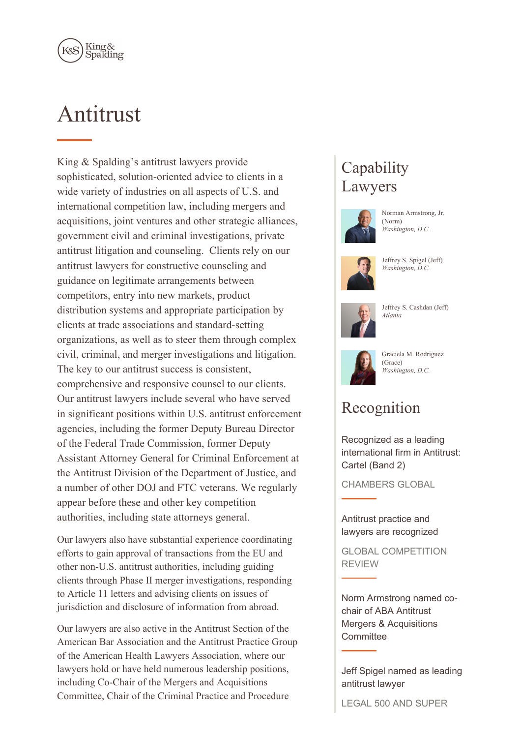

# Antitrust

King & Spalding's antitrust lawyers provide sophisticated, solution-oriented advice to clients in a wide variety of industries on all aspects of U.S. and international competition law, including mergers and acquisitions, joint ventures and other strategic alliances, government civil and criminal investigations, private antitrust litigation and counseling. Clients rely on our antitrust lawyers for constructive counseling and guidance on legitimate arrangements between competitors, entry into new markets, product distribution systems and appropriate participation by clients at trade associations and standard-setting organizations, as well as to steer them through complex civil, criminal, and merger investigations and litigation. The key to our antitrust success is consistent, comprehensive and responsive counsel to our clients. Our antitrust lawyers include several who have served in significant positions within U.S. antitrust enforcement agencies, including the former Deputy Bureau Director of the Federal Trade Commission, former Deputy Assistant Attorney General for Criminal Enforcement at the Antitrust Division of the Department of Justice, and a number of other DOJ and FTC veterans. We regularly appear before these and other key competition authorities, including state attorneys general.

Our lawyers also have substantial experience coordinating efforts to gain approval of transactions from the EU and other non-U.S. antitrust authorities, including guiding clients through Phase II merger investigations, responding to Article 11 letters and advising clients on issues of jurisdiction and disclosure of information from abroad.

Our lawyers are also active in the Antitrust Section of the American Bar Association and the Antitrust Practice Group of the American Health Lawyers Association, where our lawyers hold or have held numerous leadership positions, including Co-Chair of the Mergers and Acquisitions Committee, Chair of the Criminal Practice and Procedure

## **Capability** Lawyers



Norman Armstrong, Jr. (Norm) *Washington, D.C.*



Jeffrey S. Spigel (Jeff) *Washington, D.C.*



Jeffrey S. Cashdan (Jeff) *Atlanta*



Graciela M. Rodriguez (Grace) *Washington, D.C.*

## Recognition

Recognized as a leading international firm in Antitrust: Cartel (Band 2)

CHAMBERS GLOBAL

#### Antitrust practice and lawyers are recognized

GLOBAL COMPETITION REVIEW

Norm Armstrong named cochair of ABA Antitrust Mergers & Acquisitions **Committee** 

Jeff Spigel named as leading antitrust lawyer

LEGAL 500 AND SUPER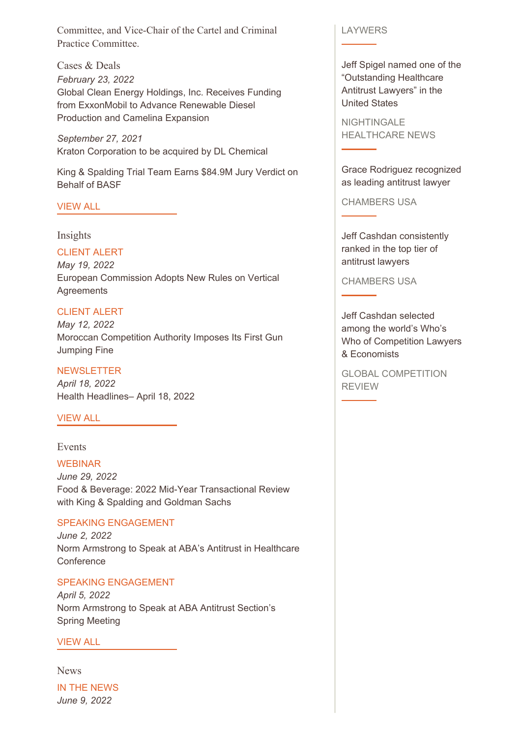Committee, and Vice-Chair of the Cartel and Criminal Practice Committee.

Cases & Deals *February 23, 2022* Global Clean Energy Holdings, Inc. Receives Funding from ExxonMobil to Advance Renewable Diesel Production and Camelina Expansion

*September 27, 2021* Kraton Corporation to be acquired by DL Chemical

King & Spalding Trial Team Earns \$84.9M Jury Verdict on Behalf of BASF

#### [VIEW](https://www.kslaw.com/news-and-insights?capability_id=1&locale=en&post_category_id=1&post_type=0) ALL

#### Insights

#### CLIENT ALERT

*May 19, 2022* European Commission Adopts New Rules on Vertical **Agreements** 

#### CLIENT ALERT

*May 12, 2022* Moroccan Competition Authority Imposes Its First Gun Jumping Fine

#### **NEWSLETTER**

*April 18, 2022* Health Headlines– April 18, 2022

#### [VIEW](https://www.kslaw.com/news-and-insights?capability_id=1&locale=en&post_type=2) ALL

### Events

WEBINAR *June 29, 2022* Food & Beverage: 2022 Mid-Year Transactional Review with King & Spalding and Goldman Sachs

#### SPEAKING ENGAGEMENT

*June 2, 2022* Norm Armstrong to Speak at ABA's Antitrust in Healthcare **Conference** 

#### SPEAKING ENGAGEMENT

*April 5, 2022* Norm Armstrong to Speak at ABA Antitrust Section's Spring Meeting

#### [VIEW](https://www.kslaw.com/news-and-insights?capability_id=1&locale=en&post_type=1) ALL

News IN THE NEWS *June 9, 2022*

#### LAYWERS

Jeff Spigel named one of the "Outstanding Healthcare Antitrust Lawyers" in the United States

NIGHTINGALE HEALTHCARE NEWS

Grace Rodriguez recognized as leading antitrust lawyer

CHAMBERS USA

Jeff Cashdan consistently ranked in the top tier of antitrust lawyers

CHAMBERS USA

Jeff Cashdan selected among the world's Who's Who of Competition Lawyers & Economists

GLOBAL COMPETITION REVIEW